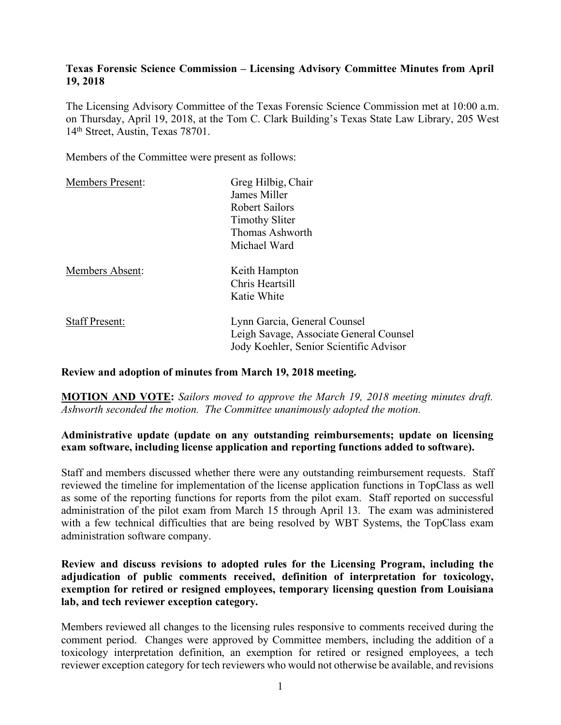### **Texas Forensic Science Commission – Licensing Advisory Committee Minutes from April 19, 2018**

The Licensing Advisory Committee of the Texas Forensic Science Commission met at 10:00 a.m. on Thursday, April 19, 2018, at the Tom C. Clark Building's Texas State Law Library, 205 West 14th Street, Austin, Texas 78701.

Members of the Committee were present as follows:

| <b>Members Present:</b> | Greg Hilbig, Chair                                                                                                 |
|-------------------------|--------------------------------------------------------------------------------------------------------------------|
|                         | James Miller                                                                                                       |
|                         | Robert Sailors                                                                                                     |
|                         | <b>Timothy Sliter</b>                                                                                              |
|                         | Thomas Ashworth                                                                                                    |
|                         | Michael Ward                                                                                                       |
| Members Absent:         | Keith Hampton                                                                                                      |
|                         | Chris Heartsill                                                                                                    |
|                         | Katie White                                                                                                        |
| <b>Staff Present:</b>   | Lynn Garcia, General Counsel<br>Leigh Savage, Associate General Counsel<br>Jody Koehler, Senior Scientific Advisor |
|                         |                                                                                                                    |

#### **Review and adoption of minutes from March 19, 2018 meeting.**

**MOTION AND VOTE:** *Sailors moved to approve the March 19, 2018 meeting minutes draft. Ashworth seconded the motion. The Committee unanimously adopted the motion.*

### **Administrative update (update on any outstanding reimbursements; update on licensing exam software, including license application and reporting functions added to software).**

Staff and members discussed whether there were any outstanding reimbursement requests. Staff reviewed the timeline for implementation of the license application functions in TopClass as well as some of the reporting functions for reports from the pilot exam. Staff reported on successful administration of the pilot exam from March 15 through April 13. The exam was administered with a few technical difficulties that are being resolved by WBT Systems, the TopClass exam administration software company.

**Review and discuss revisions to adopted rules for the Licensing Program, including the adjudication of public comments received, definition of interpretation for toxicology, exemption for retired or resigned employees, temporary licensing question from Louisiana lab, and tech reviewer exception category.**

Members reviewed all changes to the licensing rules responsive to comments received during the comment period. Changes were approved by Committee members, including the addition of a toxicology interpretation definition, an exemption for retired or resigned employees, a tech reviewer exception category for tech reviewers who would not otherwise be available, and revisions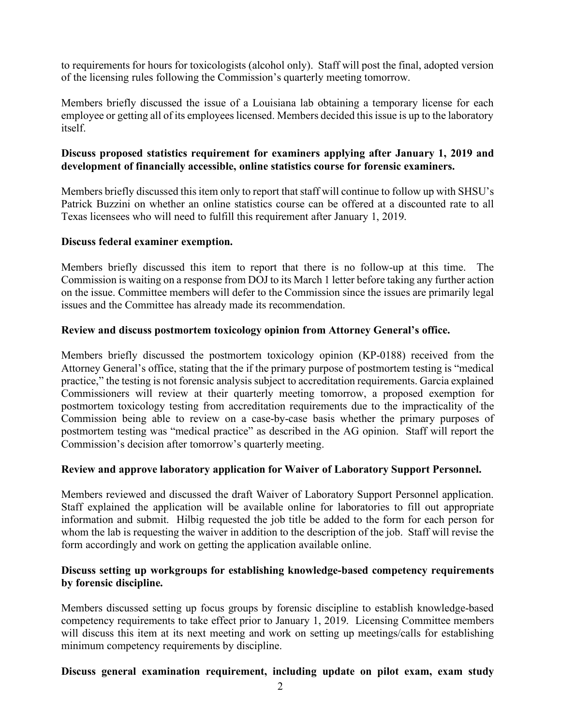to requirements for hours for toxicologists (alcohol only). Staff will post the final, adopted version of the licensing rules following the Commission's quarterly meeting tomorrow.

Members briefly discussed the issue of a Louisiana lab obtaining a temporary license for each employee or getting all of its employees licensed. Members decided this issue is up to the laboratory itself.

## **Discuss proposed statistics requirement for examiners applying after January 1, 2019 and development of financially accessible, online statistics course for forensic examiners.**

Members briefly discussed this item only to report that staff will continue to follow up with SHSU's Patrick Buzzini on whether an online statistics course can be offered at a discounted rate to all Texas licensees who will need to fulfill this requirement after January 1, 2019.

### **Discuss federal examiner exemption.**

Members briefly discussed this item to report that there is no follow-up at this time. The Commission is waiting on a response from DOJ to its March 1 letter before taking any further action on the issue. Committee members will defer to the Commission since the issues are primarily legal issues and the Committee has already made its recommendation.

### **Review and discuss postmortem toxicology opinion from Attorney General's office.**

Members briefly discussed the postmortem toxicology opinion (KP-0188) received from the Attorney General's office, stating that the if the primary purpose of postmortem testing is "medical practice," the testing is not forensic analysis subject to accreditation requirements. Garcia explained Commissioners will review at their quarterly meeting tomorrow, a proposed exemption for postmortem toxicology testing from accreditation requirements due to the impracticality of the Commission being able to review on a case-by-case basis whether the primary purposes of postmortem testing was "medical practice" as described in the AG opinion. Staff will report the Commission's decision after tomorrow's quarterly meeting.

#### **Review and approve laboratory application for Waiver of Laboratory Support Personnel.**

Members reviewed and discussed the draft Waiver of Laboratory Support Personnel application. Staff explained the application will be available online for laboratories to fill out appropriate information and submit. Hilbig requested the job title be added to the form for each person for whom the lab is requesting the waiver in addition to the description of the job. Staff will revise the form accordingly and work on getting the application available online.

### **Discuss setting up workgroups for establishing knowledge-based competency requirements by forensic discipline.**

Members discussed setting up focus groups by forensic discipline to establish knowledge-based competency requirements to take effect prior to January 1, 2019. Licensing Committee members will discuss this item at its next meeting and work on setting up meetings/calls for establishing minimum competency requirements by discipline.

# **Discuss general examination requirement, including update on pilot exam, exam study**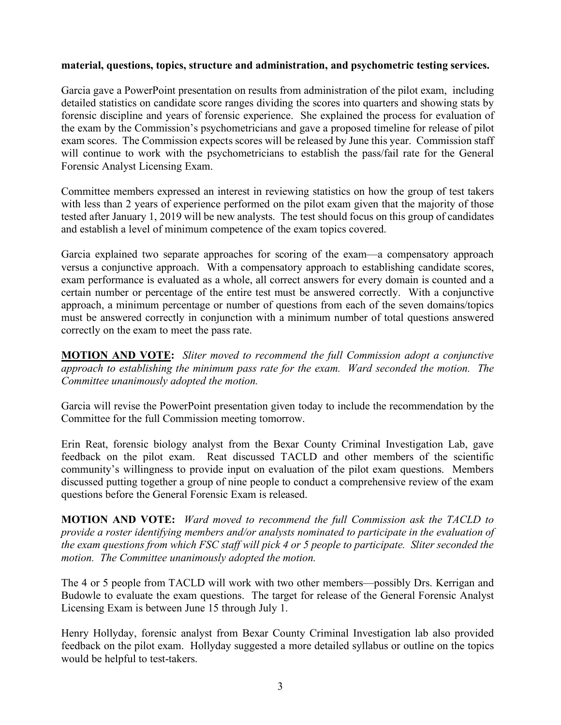### **material, questions, topics, structure and administration, and psychometric testing services.**

Garcia gave a PowerPoint presentation on results from administration of the pilot exam, including detailed statistics on candidate score ranges dividing the scores into quarters and showing stats by forensic discipline and years of forensic experience. She explained the process for evaluation of the exam by the Commission's psychometricians and gave a proposed timeline for release of pilot exam scores. The Commission expects scores will be released by June this year. Commission staff will continue to work with the psychometricians to establish the pass/fail rate for the General Forensic Analyst Licensing Exam.

Committee members expressed an interest in reviewing statistics on how the group of test takers with less than 2 years of experience performed on the pilot exam given that the majority of those tested after January 1, 2019 will be new analysts. The test should focus on this group of candidates and establish a level of minimum competence of the exam topics covered.

Garcia explained two separate approaches for scoring of the exam—a compensatory approach versus a conjunctive approach. With a compensatory approach to establishing candidate scores, exam performance is evaluated as a whole, all correct answers for every domain is counted and a certain number or percentage of the entire test must be answered correctly. With a conjunctive approach, a minimum percentage or number of questions from each of the seven domains/topics must be answered correctly in conjunction with a minimum number of total questions answered correctly on the exam to meet the pass rate.

**MOTION AND VOTE:** *Sliter moved to recommend the full Commission adopt a conjunctive approach to establishing the minimum pass rate for the exam. Ward seconded the motion. The Committee unanimously adopted the motion.*

Garcia will revise the PowerPoint presentation given today to include the recommendation by the Committee for the full Commission meeting tomorrow.

Erin Reat, forensic biology analyst from the Bexar County Criminal Investigation Lab, gave feedback on the pilot exam. Reat discussed TACLD and other members of the scientific community's willingness to provide input on evaluation of the pilot exam questions. Members discussed putting together a group of nine people to conduct a comprehensive review of the exam questions before the General Forensic Exam is released.

**MOTION AND VOTE:** *Ward moved to recommend the full Commission ask the TACLD to provide a roster identifying members and/or analysts nominated to participate in the evaluation of the exam questions from which FSC staff will pick 4 or 5 people to participate. Sliter seconded the motion. The Committee unanimously adopted the motion.*

The 4 or 5 people from TACLD will work with two other members—possibly Drs. Kerrigan and Budowle to evaluate the exam questions. The target for release of the General Forensic Analyst Licensing Exam is between June 15 through July 1.

Henry Hollyday, forensic analyst from Bexar County Criminal Investigation lab also provided feedback on the pilot exam. Hollyday suggested a more detailed syllabus or outline on the topics would be helpful to test-takers.